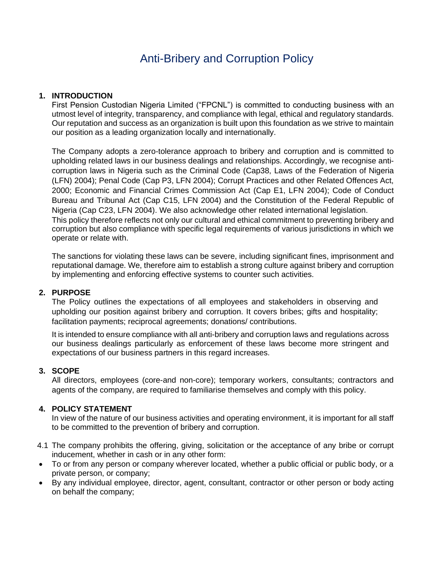# Anti-Bribery and Corruption Policy

# **1. INTRODUCTION**

First Pension Custodian Nigeria Limited ("FPCNL") is committed to conducting business with an utmost level of integrity, transparency, and compliance with legal, ethical and regulatory standards. Our reputation and success as an organization is built upon this foundation as we strive to maintain our position as a leading organization locally and internationally.

The Company adopts a zero-tolerance approach to bribery and corruption and is committed to upholding related laws in our business dealings and relationships. Accordingly, we recognise anticorruption laws in Nigeria such as the Criminal Code (Cap38, Laws of the Federation of Nigeria (LFN) 2004); Penal Code (Cap P3, LFN 2004); Corrupt Practices and other Related Offences Act, 2000; Economic and Financial Crimes Commission Act (Cap E1, LFN 2004); Code of Conduct Bureau and Tribunal Act (Cap C15, LFN 2004) and the Constitution of the Federal Republic of Nigeria (Cap C23, LFN 2004). We also acknowledge other related international legislation. This policy therefore reflects not only our cultural and ethical commitment to preventing bribery and corruption but also compliance with specific legal requirements of various jurisdictions in which we operate or relate with.

The sanctions for violating these laws can be severe, including significant fines, imprisonment and reputational damage. We, therefore aim to establish a strong culture against bribery and corruption by implementing and enforcing effective systems to counter such activities.

# **2. PURPOSE**

The Policy outlines the expectations of all employees and stakeholders in observing and upholding our position against bribery and corruption. It covers bribes; gifts and hospitality; facilitation payments; reciprocal agreements; donations/ contributions.

It is intended to ensure compliance with all anti-bribery and corruption laws and regulations across our business dealings particularly as enforcement of these laws become more stringent and expectations of our business partners in this regard increases.

# **3. SCOPE**

All directors, employees (core-and non-core); temporary workers, consultants; contractors and agents of the company, are required to familiarise themselves and comply with this policy.

# **4. POLICY STATEMENT**

In view of the nature of our business activities and operating environment, it is important for all staff to be committed to the prevention of bribery and corruption.

- 4.1 The company prohibits the offering, giving, solicitation or the acceptance of any bribe or corrupt inducement, whether in cash or in any other form:
- To or from any person or company wherever located, whether a public official or public body, or a private person, or company;
- By any individual employee, director, agent, consultant, contractor or other person or body acting on behalf the company;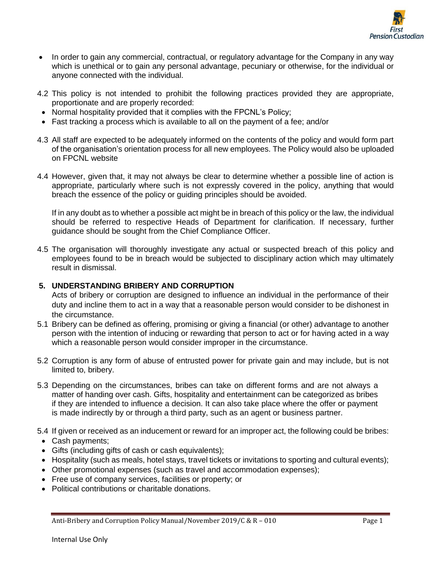

- In order to gain any commercial, contractual, or regulatory advantage for the Company in any way which is unethical or to gain any personal advantage, pecuniary or otherwise, for the individual or anyone connected with the individual.
- 4.2 This policy is not intended to prohibit the following practices provided they are appropriate, proportionate and are properly recorded:
- Normal hospitality provided that it complies with the FPCNL's Policy;
- Fast tracking a process which is available to all on the payment of a fee; and/or
- 4.3 All staff are expected to be adequately informed on the contents of the policy and would form part of the organisation's orientation process for all new employees. The Policy would also be uploaded on FPCNL website
- 4.4 However, given that, it may not always be clear to determine whether a possible line of action is appropriate, particularly where such is not expressly covered in the policy, anything that would breach the essence of the policy or guiding principles should be avoided.

If in any doubt as to whether a possible act might be in breach of this policy or the law, the individual should be referred to respective Heads of Department for clarification. If necessary, further guidance should be sought from the Chief Compliance Officer.

4.5 The organisation will thoroughly investigate any actual or suspected breach of this policy and employees found to be in breach would be subjected to disciplinary action which may ultimately result in dismissal.

# **5. UNDERSTANDING BRIBERY AND CORRUPTION**

Acts of bribery or corruption are designed to influence an individual in the performance of their duty and incline them to act in a way that a reasonable person would consider to be dishonest in the circumstance.

- 5.1 Bribery can be defined as offering, promising or giving a financial (or other) advantage to another person with the intention of inducing or rewarding that person to act or for having acted in a way which a reasonable person would consider improper in the circumstance.
- 5.2 Corruption is any form of abuse of entrusted power for private gain and may include, but is not limited to, bribery.
- 5.3 Depending on the circumstances, bribes can take on different forms and are not always a matter of handing over cash. Gifts, hospitality and entertainment can be categorized as bribes if they are intended to influence a decision. It can also take place where the offer or payment is made indirectly by or through a third party, such as an agent or business partner.
- 5.4 If given or received as an inducement or reward for an improper act, the following could be bribes:
- Cash payments;
- Gifts (including gifts of cash or cash equivalents);
- Hospitality (such as meals, hotel stays, travel tickets or invitations to sporting and cultural events);
- Other promotional expenses (such as travel and accommodation expenses);
- Free use of company services, facilities or property; or
- Political contributions or charitable donations.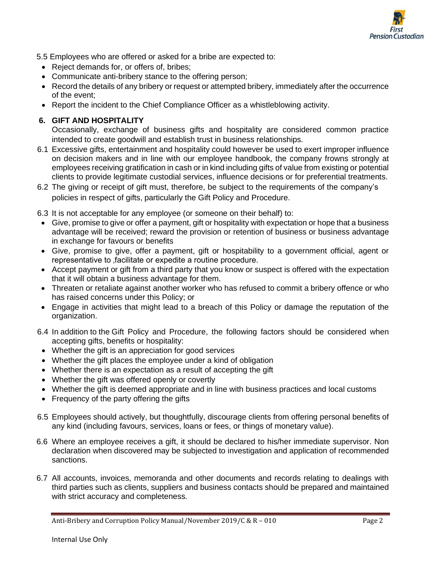

5.5 Employees who are offered or asked for a bribe are expected to:

- Reject demands for, or offers of, bribes;
- Communicate anti-bribery stance to the offering person;
- Record the details of any bribery or request or attempted bribery, immediately after the occurrence of the event;
- Report the incident to the Chief Compliance Officer as a whistleblowing activity.

# **6. GIFT AND HOSPITALITY**

Occasionally, exchange of business gifts and hospitality are considered common practice intended to create goodwill and establish trust in business relationships.

- 6.1 Excessive gifts, entertainment and hospitality could however be used to exert improper influence on decision makers and in line with our employee handbook, the company frowns strongly at employees receiving gratification in cash or in kind including gifts of value from existing or potential clients to provide legitimate custodial services, influence decisions or for preferential treatments.
- 6.2 The giving or receipt of gift must, therefore, be subject to the requirements of the company's policies in respect of gifts, particularly the Gift Policy and Procedure.

6.3 It is not acceptable for any employee (or someone on their behalf) to:

- Give, promise to give or offer a payment, gift or hospitality with expectation or hope that a business advantage will be received; reward the provision or retention of business or business advantage in exchange for favours or benefits
- Give, promise to give, offer a payment, gift or hospitability to a government official, agent or representative to facilitate or expedite a routine procedure.
- Accept payment or gift from a third party that you know or suspect is offered with the expectation that it will obtain a business advantage for them.
- Threaten or retaliate against another worker who has refused to commit a bribery offence or who has raised concerns under this Policy; or
- Engage in activities that might lead to a breach of this Policy or damage the reputation of the organization.
- 6.4 In addition to the Gift Policy and Procedure, the following factors should be considered when accepting gifts, benefits or hospitality:
- Whether the gift is an appreciation for good services
- Whether the gift places the employee under a kind of obligation
- Whether there is an expectation as a result of accepting the gift
- Whether the gift was offered openly or covertly
- Whether the gift is deemed appropriate and in line with business practices and local customs
- Frequency of the party offering the gifts
- 6.5 Employees should actively, but thoughtfully, discourage clients from offering personal benefits of any kind (including favours, services, loans or fees, or things of monetary value).
- 6.6 Where an employee receives a gift, it should be declared to his/her immediate supervisor. Non declaration when discovered may be subjected to investigation and application of recommended sanctions.
- 6.7 All accounts, invoices, memoranda and other documents and records relating to dealings with third parties such as clients, suppliers and business contacts should be prepared and maintained with strict accuracy and completeness.

Anti-Bribery and Corruption Policy Manual/November 2019/C & R – 010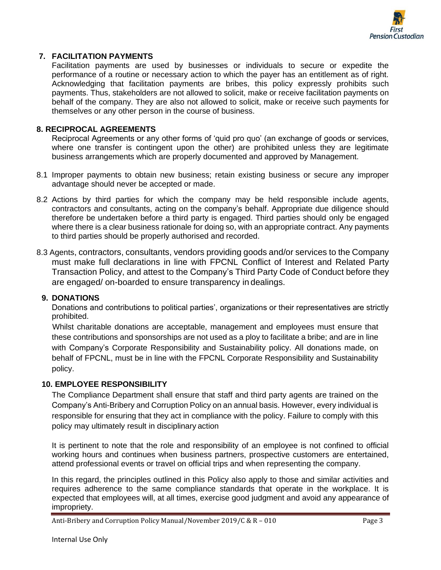

# **7. FACILITATION PAYMENTS**

Facilitation payments are used by businesses or individuals to secure or expedite the performance of a routine or necessary action to which the payer has an entitlement as of right. Acknowledging that facilitation payments are bribes, this policy expressly prohibits such payments. Thus, stakeholders are not allowed to solicit, make or receive facilitation payments on behalf of the company. They are also not allowed to solicit, make or receive such payments for themselves or any other person in the course of business.

#### **8. RECIPROCAL AGREEMENTS**

Reciprocal Agreements or any other forms of 'quid pro quo' (an exchange of goods or services, where one transfer is contingent upon the other) are prohibited unless they are legitimate business arrangements which are properly documented and approved by Management.

- 8.1 Improper payments to obtain new business; retain existing business or secure any improper advantage should never be accepted or made.
- 8.2 Actions by third parties for which the company may be held responsible include agents, contractors and consultants, acting on the company's behalf. Appropriate due diligence should therefore be undertaken before a third party is engaged. Third parties should only be engaged where there is a clear business rationale for doing so, with an appropriate contract. Any payments to third parties should be properly authorised and recorded.
- 8.3 Agents, contractors, consultants, vendors providing goods and/or services to the Company must make full declarations in line with FPCNL Conflict of Interest and Related Party Transaction Policy, and attest to the Company's Third Party Code of Conduct before they are engaged/ on-boarded to ensure transparency in dealings.

#### **9. DONATIONS**

Donations and contributions to political parties', organizations or their representatives are strictly prohibited.

Whilst charitable donations are acceptable, management and employees must ensure that these contributions and sponsorships are not used as a ploy to facilitate a bribe; and are in line with Company's Corporate Responsibility and Sustainability policy. All donations made, on behalf of FPCNL, must be in line with the FPCNL Corporate Responsibility and Sustainability policy.

# **10. EMPLOYEE RESPONSIBILITY**

The Compliance Department shall ensure that staff and third party agents are trained on the Company's Anti-Bribery and Corruption Policy on an annual basis. However, every individual is responsible for ensuring that they act in compliance with the policy. Failure to comply with this policy may ultimately result in disciplinary action

It is pertinent to note that the role and responsibility of an employee is not confined to official working hours and continues when business partners, prospective customers are entertained, attend professional events or travel on official trips and when representing the company.

In this regard, the principles outlined in this Policy also apply to those and similar activities and requires adherence to the same compliance standards that operate in the workplace. It is expected that employees will, at all times, exercise good judgment and avoid any appearance of impropriety.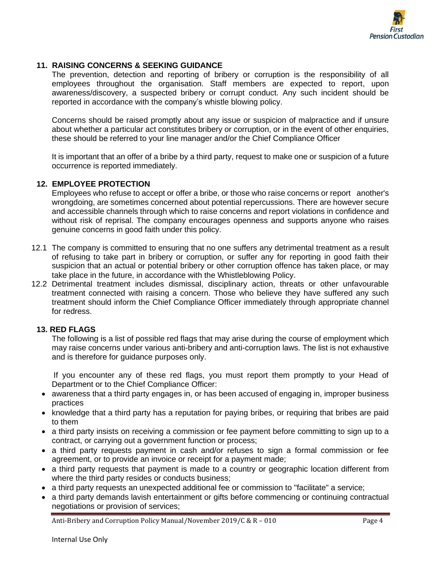

## **11. RAISING CONCERNS & SEEKING GUIDANCE**

The prevention, detection and reporting of bribery or corruption is the responsibility of all employees throughout the organisation. Staff members are expected to report, upon awareness/discovery, a suspected bribery or corrupt conduct. Any such incident should be reported in accordance with the company's whistle blowing policy.

Concerns should be raised promptly about any issue or suspicion of malpractice and if unsure about whether a particular act constitutes bribery or corruption, or in the event of other enquiries, these should be referred to your line manager and/or the Chief Compliance Officer

It is important that an offer of a bribe by a third party, request to make one or suspicion of a future occurrence is reported immediately.

#### **12. EMPLOYEE PROTECTION**

Employees who refuse to accept or offer a bribe, or those who raise concerns or report another's wrongdoing, are sometimes concerned about potential repercussions. There are however secure and accessible channels through which to raise concerns and report violations in confidence and without risk of reprisal. The company encourages openness and supports anyone who raises genuine concerns in good faith under this policy.

- 12.1 The company is committed to ensuring that no one suffers any detrimental treatment as a result of refusing to take part in bribery or corruption, or suffer any for reporting in good faith their suspicion that an actual or potential bribery or other corruption offence has taken place, or may take place in the future, in accordance with the Whistleblowing Policy.
- 12.2 Detrimental treatment includes dismissal, disciplinary action, threats or other unfavourable treatment connected with raising a concern. Those who believe they have suffered any such treatment should inform the Chief Compliance Officer immediately through appropriate channel for redress.

#### **13. RED FLAGS**

The following is a list of possible red flags that may arise during the course of employment which may raise concerns under various anti-bribery and anti-corruption laws. The list is not exhaustive and is therefore for guidance purposes only.

If you encounter any of these red flags, you must report them promptly to your Head of Department or to the Chief Compliance Officer:

- awareness that a third party engages in, or has been accused of engaging in, improper business practices
- knowledge that a third party has a reputation for paying bribes, or requiring that bribes are paid to them
- a third party insists on receiving a commission or fee payment before committing to sign up to a contract, or carrying out a government function or process;
- a third party requests payment in cash and/or refuses to sign a formal commission or fee agreement, or to provide an invoice or receipt for a payment made;
- a third party requests that payment is made to a country or geographic location different from where the third party resides or conducts business;
- a third party requests an unexpected additional fee or commission to "facilitate" a service;
- a third party demands lavish entertainment or gifts before commencing or continuing contractual negotiations or provision of services;

Anti-Bribery and Corruption Policy Manual/November 2019/C & R – 010